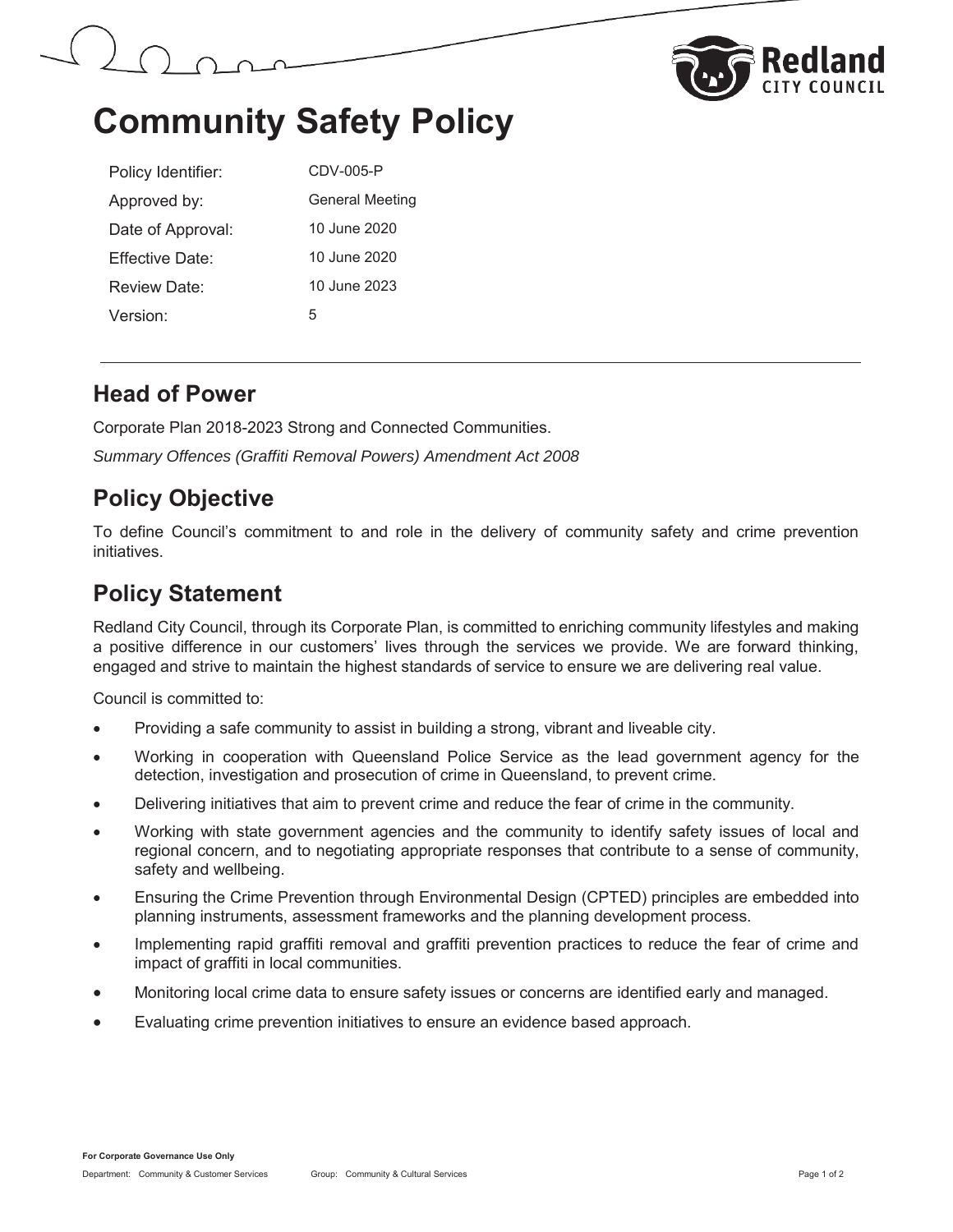



## **Community Safety Policy**

| Policy Identifier:   | CDV-005-P              |
|----------------------|------------------------|
| Approved by:         | <b>General Meeting</b> |
| Date of Approval:    | 10 June 2020           |
| Fffective Date:      | 10 June 2020           |
| Review Date:         | 10 June 2023           |
| Version <sup>.</sup> | 5                      |

### **Head of Power**

Corporate Plan 2018-2023 Strong and Connected Communities. *Summary Offences (Graffiti Removal Powers) Amendment Act 2008* 

## **Policy Objective**

To define Council's commitment to and role in the delivery of community safety and crime prevention initiatives.

### **Policy Statement**

Redland City Council, through its Corporate Plan, is committed to enriching community lifestyles and making a positive difference in our customers' lives through the services we provide. We are forward thinking, engaged and strive to maintain the highest standards of service to ensure we are delivering real value.

Council is committed to:

- Providing a safe community to assist in building a strong, vibrant and liveable city.
- Working in cooperation with Queensland Police Service as the lead government agency for the detection, investigation and prosecution of crime in Queensland, to prevent crime.
- Delivering initiatives that aim to prevent crime and reduce the fear of crime in the community.
- Working with state government agencies and the community to identify safety issues of local and regional concern, and to negotiating appropriate responses that contribute to a sense of community, safety and wellbeing.
- Ensuring the Crime Prevention through Environmental Design (CPTED) principles are embedded into planning instruments, assessment frameworks and the planning development process.
- Implementing rapid graffiti removal and graffiti prevention practices to reduce the fear of crime and impact of graffiti in local communities.
- x Monitoring local crime data to ensure safety issues or concerns are identified early and managed.
- Evaluating crime prevention initiatives to ensure an evidence based approach.